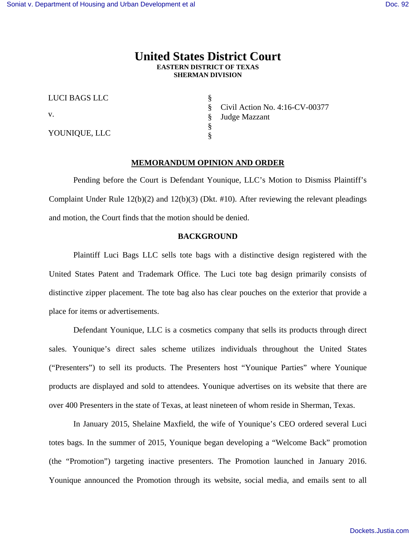# **United States District Court EASTERN DISTRICT OF TEXAS SHERMAN DIVISION**

| LUCI BAGS LLC |
|---------------|
| V.            |
| YOUNIQUE, LLC |

§ § § § § Civil Action No. 4:16-CV-00377 Judge Mazzant

## **MEMORANDUM OPINION AND ORDER**

 Pending before the Court is Defendant Younique, LLC's Motion to Dismiss Plaintiff's Complaint Under Rule  $12(b)(2)$  and  $12(b)(3)$  (Dkt. #10). After reviewing the relevant pleadings and motion, the Court finds that the motion should be denied.

## **BACKGROUND**

Plaintiff Luci Bags LLC sells tote bags with a distinctive design registered with the United States Patent and Trademark Office. The Luci tote bag design primarily consists of distinctive zipper placement. The tote bag also has clear pouches on the exterior that provide a place for items or advertisements.

Defendant Younique, LLC is a cosmetics company that sells its products through direct sales. Younique's direct sales scheme utilizes individuals throughout the United States ("Presenters") to sell its products. The Presenters host "Younique Parties" where Younique products are displayed and sold to attendees. Younique advertises on its website that there are over 400 Presenters in the state of Texas, at least nineteen of whom reside in Sherman, Texas.

In January 2015, Shelaine Maxfield, the wife of Younique's CEO ordered several Luci totes bags. In the summer of 2015, Younique began developing a "Welcome Back" promotion (the "Promotion") targeting inactive presenters. The Promotion launched in January 2016. Younique announced the Promotion through its website, social media, and emails sent to all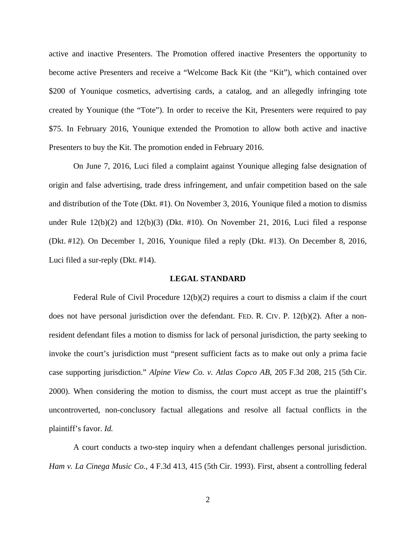active and inactive Presenters. The Promotion offered inactive Presenters the opportunity to become active Presenters and receive a "Welcome Back Kit (the "Kit"), which contained over \$200 of Younique cosmetics, advertising cards, a catalog, and an allegedly infringing tote created by Younique (the "Tote"). In order to receive the Kit, Presenters were required to pay \$75. In February 2016, Younique extended the Promotion to allow both active and inactive Presenters to buy the Kit. The promotion ended in February 2016.

On June 7, 2016, Luci filed a complaint against Younique alleging false designation of origin and false advertising, trade dress infringement, and unfair competition based on the sale and distribution of the Tote (Dkt. #1). On November 3, 2016, Younique filed a motion to dismiss under Rule 12(b)(2) and 12(b)(3) (Dkt. #10). On November 21, 2016, Luci filed a response (Dkt. #12). On December 1, 2016, Younique filed a reply (Dkt. #13). On December 8, 2016, Luci filed a sur-reply (Dkt. #14).

#### **LEGAL STANDARD**

Federal Rule of Civil Procedure  $12(b)(2)$  requires a court to dismiss a claim if the court does not have personal jurisdiction over the defendant. FED. R. CIV. P. 12(b)(2). After a nonresident defendant files a motion to dismiss for lack of personal jurisdiction, the party seeking to invoke the court's jurisdiction must "present sufficient facts as to make out only a prima facie case supporting jurisdiction." *Alpine View Co. v. Atlas Copco AB*, 205 F.3d 208, 215 (5th Cir. 2000). When considering the motion to dismiss, the court must accept as true the plaintiff's uncontroverted, non-conclusory factual allegations and resolve all factual conflicts in the plaintiff's favor. *Id.* 

A court conducts a two-step inquiry when a defendant challenges personal jurisdiction. *Ham v. La Cinega Music Co.*, 4 F.3d 413, 415 (5th Cir. 1993). First, absent a controlling federal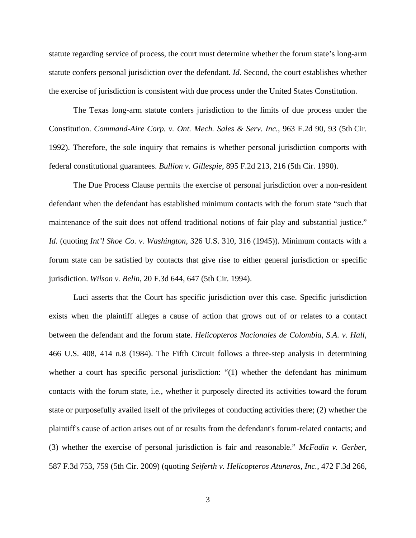statute regarding service of process, the court must determine whether the forum state's long-arm statute confers personal jurisdiction over the defendant. *Id.* Second, the court establishes whether the exercise of jurisdiction is consistent with due process under the United States Constitution.

The Texas long-arm statute confers jurisdiction to the limits of due process under the Constitution. *Command-Aire Corp. v. Ont. Mech. Sales & Serv. Inc.*, 963 F.2d 90, 93 (5th Cir. 1992). Therefore, the sole inquiry that remains is whether personal jurisdiction comports with federal constitutional guarantees. *Bullion v. Gillespie*, 895 F.2d 213, 216 (5th Cir. 1990).

The Due Process Clause permits the exercise of personal jurisdiction over a non-resident defendant when the defendant has established minimum contacts with the forum state "such that maintenance of the suit does not offend traditional notions of fair play and substantial justice." *Id.* (quoting *Int'l Shoe Co. v. Washington*, 326 U.S. 310, 316 (1945)). Minimum contacts with a forum state can be satisfied by contacts that give rise to either general jurisdiction or specific jurisdiction. *Wilson v. Belin*, 20 F.3d 644, 647 (5th Cir. 1994).

Luci asserts that the Court has specific jurisdiction over this case. Specific jurisdiction exists when the plaintiff alleges a cause of action that grows out of or relates to a contact between the defendant and the forum state. *Helicopteros Nacionales de Colombia, S.A. v. Hall*, 466 U.S. 408, 414 n.8 (1984). The Fifth Circuit follows a three-step analysis in determining whether a court has specific personal jurisdiction: "(1) whether the defendant has minimum contacts with the forum state, i.e., whether it purposely directed its activities toward the forum state or purposefully availed itself of the privileges of conducting activities there; (2) whether the plaintiff's cause of action arises out of or results from the defendant's forum-related contacts; and (3) whether the exercise of personal jurisdiction is fair and reasonable." *McFadin v. Gerber*, 587 F.3d 753, 759 (5th Cir. 2009) (quoting *Seiferth v. Helicopteros Atuneros*, *Inc.*, 472 F.3d 266,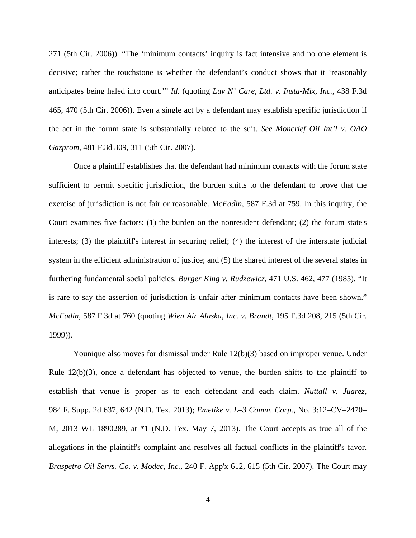271 (5th Cir. 2006)). "The 'minimum contacts' inquiry is fact intensive and no one element is decisive; rather the touchstone is whether the defendant's conduct shows that it 'reasonably anticipates being haled into court.'" *Id.* (quoting *Luv N' Care, Ltd. v. Insta-Mix, Inc.*, 438 F.3d 465, 470 (5th Cir. 2006)). Even a single act by a defendant may establish specific jurisdiction if the act in the forum state is substantially related to the suit. *See Moncrief Oil Int'l v. OAO Gazprom*, 481 F.3d 309, 311 (5th Cir. 2007).

Once a plaintiff establishes that the defendant had minimum contacts with the forum state sufficient to permit specific jurisdiction, the burden shifts to the defendant to prove that the exercise of jurisdiction is not fair or reasonable. *McFadin*, 587 F.3d at 759. In this inquiry, the Court examines five factors: (1) the burden on the nonresident defendant; (2) the forum state's interests; (3) the plaintiff's interest in securing relief; (4) the interest of the interstate judicial system in the efficient administration of justice; and (5) the shared interest of the several states in furthering fundamental social policies. *Burger King v. Rudzewicz*, 471 U.S. 462, 477 (1985). "It is rare to say the assertion of jurisdiction is unfair after minimum contacts have been shown." *McFadin*, 587 F.3d at 760 (quoting *Wien Air Alaska, Inc. v. Brandt*, 195 F.3d 208, 215 (5th Cir. 1999)).

Younique also moves for dismissal under Rule 12(b)(3) based on improper venue. Under Rule 12(b)(3), once a defendant has objected to venue, the burden shifts to the plaintiff to establish that venue is proper as to each defendant and each claim. *Nuttall v. Juarez*, 984 F. Supp. 2d 637, 642 (N.D. Tex. 2013); *Emelike v. L–3 Comm. Corp.*, No. 3:12–CV–2470– M, 2013 WL 1890289, at \*1 (N.D. Tex. May 7, 2013). The Court accepts as true all of the allegations in the plaintiff's complaint and resolves all factual conflicts in the plaintiff's favor. *Braspetro Oil Servs. Co. v. Modec, Inc.*, 240 F. App'x 612, 615 (5th Cir. 2007). The Court may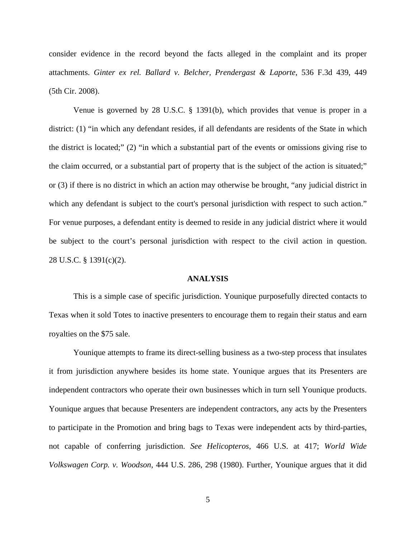consider evidence in the record beyond the facts alleged in the complaint and its proper attachments. *Ginter ex rel. Ballard v. Belcher, Prendergast & Laporte*, 536 F.3d 439, 449 (5th Cir. 2008).

Venue is governed by 28 U.S.C. § 1391(b), which provides that venue is proper in a district: (1) "in which any defendant resides, if all defendants are residents of the State in which the district is located;" (2) "in which a substantial part of the events or omissions giving rise to the claim occurred, or a substantial part of property that is the subject of the action is situated;" or (3) if there is no district in which an action may otherwise be brought, "any judicial district in which any defendant is subject to the court's personal jurisdiction with respect to such action." For venue purposes, a defendant entity is deemed to reside in any judicial district where it would be subject to the court's personal jurisdiction with respect to the civil action in question. 28 U.S.C. § 1391(c)(2).

#### **ANALYSIS**

 This is a simple case of specific jurisdiction. Younique purposefully directed contacts to Texas when it sold Totes to inactive presenters to encourage them to regain their status and earn royalties on the \$75 sale.

 Younique attempts to frame its direct-selling business as a two-step process that insulates it from jurisdiction anywhere besides its home state. Younique argues that its Presenters are independent contractors who operate their own businesses which in turn sell Younique products. Younique argues that because Presenters are independent contractors, any acts by the Presenters to participate in the Promotion and bring bags to Texas were independent acts by third-parties, not capable of conferring jurisdiction. *See Helicopteros*, 466 U.S. at 417; *World Wide Volkswagen Corp. v. Woodson*, 444 U.S. 286, 298 (1980). Further, Younique argues that it did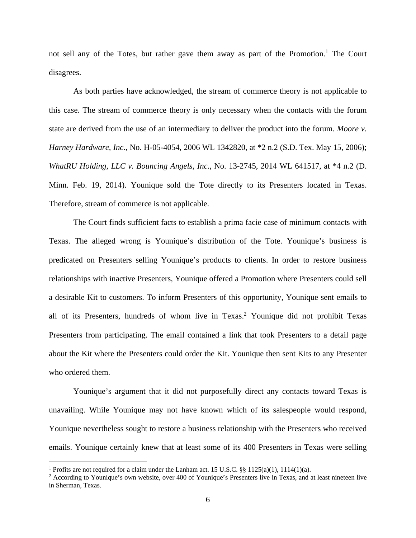not sell any of the Totes, but rather gave them away as part of the Promotion.<sup>1</sup> The Court disagrees.

As both parties have acknowledged, the stream of commerce theory is not applicable to this case. The stream of commerce theory is only necessary when the contacts with the forum state are derived from the use of an intermediary to deliver the product into the forum. *Moore v. Harney Hardware, Inc.*, No. H-05-4054, 2006 WL 1342820, at \*2 n.2 (S.D. Tex. May 15, 2006); *WhatRU Holding, LLC v. Bouncing Angels, Inc.*, No. 13-2745, 2014 WL 641517, at \*4 n.2 (D. Minn. Feb. 19, 2014). Younique sold the Tote directly to its Presenters located in Texas. Therefore, stream of commerce is not applicable.

The Court finds sufficient facts to establish a prima facie case of minimum contacts with Texas. The alleged wrong is Younique's distribution of the Tote. Younique's business is predicated on Presenters selling Younique's products to clients. In order to restore business relationships with inactive Presenters, Younique offered a Promotion where Presenters could sell a desirable Kit to customers. To inform Presenters of this opportunity, Younique sent emails to all of its Presenters, hundreds of whom live in Texas.<sup>2</sup> Younique did not prohibit Texas Presenters from participating. The email contained a link that took Presenters to a detail page about the Kit where the Presenters could order the Kit. Younique then sent Kits to any Presenter who ordered them.

Younique's argument that it did not purposefully direct any contacts toward Texas is unavailing. While Younique may not have known which of its salespeople would respond, Younique nevertheless sought to restore a business relationship with the Presenters who received emails. Younique certainly knew that at least some of its 400 Presenters in Texas were selling

 $\overline{a}$ 

<sup>&</sup>lt;sup>1</sup> Profits are not required for a claim under the Lanham act. 15 U.S.C. §§ 1125(a)(1), 1114(1)(a).

<sup>&</sup>lt;sup>2</sup> According to Younique's own website, over 400 of Younique's Presenters live in Texas, and at least nineteen live in Sherman, Texas.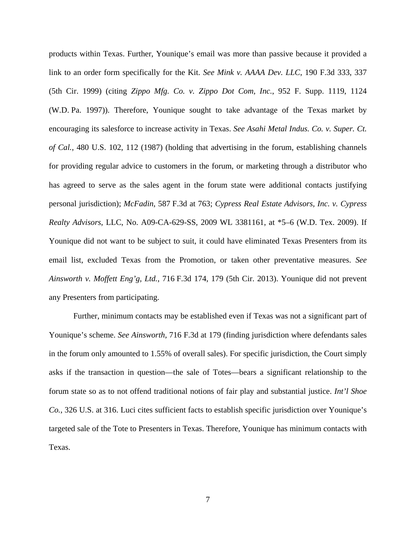products within Texas. Further, Younique's email was more than passive because it provided a link to an order form specifically for the Kit. *See Mink v. AAAA Dev. LLC*, 190 F.3d 333, 337 (5th Cir. 1999) (citing *Zippo Mfg. Co. v. Zippo Dot Com, Inc.*, 952 F. Supp. 1119, 1124 (W.D. Pa. 1997)). Therefore, Younique sought to take advantage of the Texas market by encouraging its salesforce to increase activity in Texas. *See Asahi Metal Indus. Co. v. Super. Ct. of Cal.*, 480 U.S. 102, 112 (1987) (holding that advertising in the forum, establishing channels for providing regular advice to customers in the forum, or marketing through a distributor who has agreed to serve as the sales agent in the forum state were additional contacts justifying personal jurisdiction); *McFadin*, 587 F.3d at 763; *Cypress Real Estate Advisors, Inc. v. Cypress Realty Advisors*, LLC, No. A09-CA-629-SS, 2009 WL 3381161, at \*5–6 (W.D. Tex. 2009). If Younique did not want to be subject to suit, it could have eliminated Texas Presenters from its email list, excluded Texas from the Promotion, or taken other preventative measures. *See Ainsworth v. Moffett Eng'g, Ltd.*, 716 F.3d 174, 179 (5th Cir. 2013). Younique did not prevent any Presenters from participating.

Further, minimum contacts may be established even if Texas was not a significant part of Younique's scheme. *See Ainsworth*, 716 F.3d at 179 (finding jurisdiction where defendants sales in the forum only amounted to 1.55% of overall sales). For specific jurisdiction, the Court simply asks if the transaction in question—the sale of Totes—bears a significant relationship to the forum state so as to not offend traditional notions of fair play and substantial justice. *Int'l Shoe Co.*, 326 U.S. at 316. Luci cites sufficient facts to establish specific jurisdiction over Younique's targeted sale of the Tote to Presenters in Texas. Therefore, Younique has minimum contacts with Texas.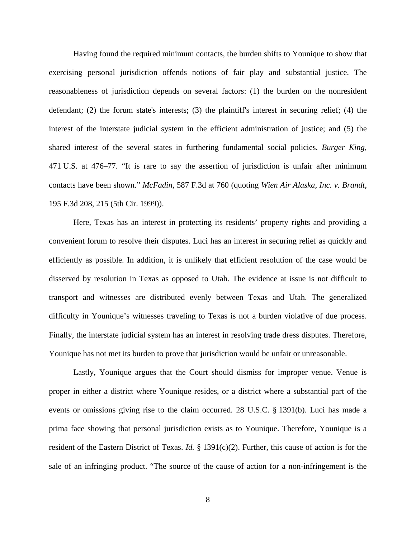Having found the required minimum contacts, the burden shifts to Younique to show that exercising personal jurisdiction offends notions of fair play and substantial justice. The reasonableness of jurisdiction depends on several factors: (1) the burden on the nonresident defendant; (2) the forum state's interests; (3) the plaintiff's interest in securing relief; (4) the interest of the interstate judicial system in the efficient administration of justice; and (5) the shared interest of the several states in furthering fundamental social policies. *Burger King*, 471 U.S. at 476–77. "It is rare to say the assertion of jurisdiction is unfair after minimum contacts have been shown." *McFadin*, 587 F.3d at 760 (quoting *Wien Air Alaska, Inc. v. Brandt*, 195 F.3d 208, 215 (5th Cir. 1999)).

Here, Texas has an interest in protecting its residents' property rights and providing a convenient forum to resolve their disputes. Luci has an interest in securing relief as quickly and efficiently as possible. In addition, it is unlikely that efficient resolution of the case would be disserved by resolution in Texas as opposed to Utah. The evidence at issue is not difficult to transport and witnesses are distributed evenly between Texas and Utah. The generalized difficulty in Younique's witnesses traveling to Texas is not a burden violative of due process. Finally, the interstate judicial system has an interest in resolving trade dress disputes. Therefore, Younique has not met its burden to prove that jurisdiction would be unfair or unreasonable.

 Lastly, Younique argues that the Court should dismiss for improper venue. Venue is proper in either a district where Younique resides, or a district where a substantial part of the events or omissions giving rise to the claim occurred. 28 U.S.C. § 1391(b). Luci has made a prima face showing that personal jurisdiction exists as to Younique. Therefore, Younique is a resident of the Eastern District of Texas. *Id.* § 1391(c)(2). Further, this cause of action is for the sale of an infringing product. "The source of the cause of action for a non-infringement is the